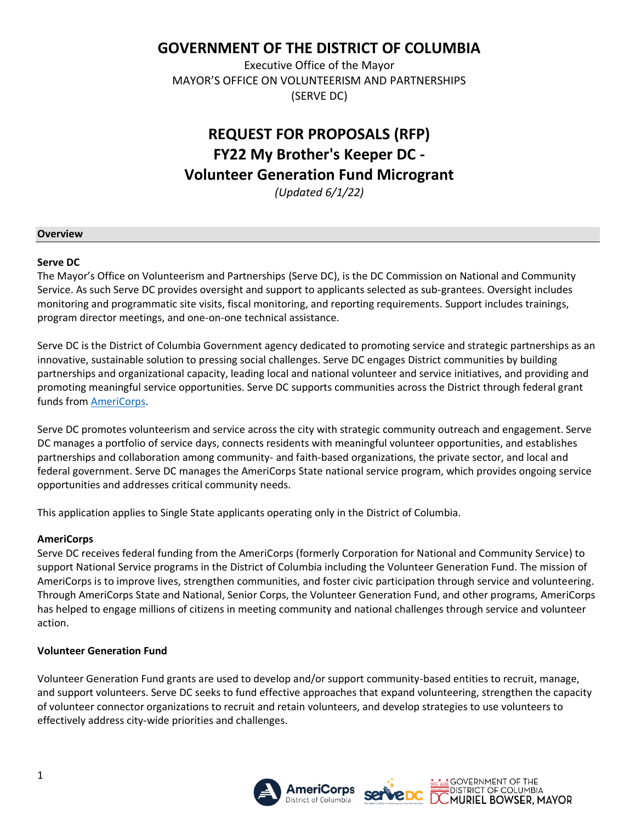## **GOVERNMENT OF THE DISTRICT OF COLUMBIA**

Executive Office of the Mayor MAYOR'S OFFICE ON VOLUNTEERISM AND PARTNERSHIPS (SERVE DC)

# **REQUEST FOR PROPOSALS (RFP) FY22 My Brother's Keeper DC - Volunteer Generation Fund Microgrant**

*(Updated 6/1/22)*

#### **Overview**

#### **Serve DC**

The Mayor's Office on Volunteerism and Partnerships (Serve DC), is the DC Commission on National and Community Service. As such Serve DC provides oversight and support to applicants selected as sub-grantees. Oversight includes monitoring and programmatic site visits, fiscal monitoring, and reporting requirements. Support includes trainings, program director meetings, and one-on-one technical assistance.

Serve DC is the District of Columbia Government agency dedicated to promoting service and strategic partnerships as an innovative, sustainable solution to pressing social challenges. Serve DC engages District communities by building partnerships and organizational capacity, leading local and national volunteer and service initiatives, and providing and promoting meaningful service opportunities. Serve DC supports communities across the District through federal grant funds from [AmeriCorps.](https://americorps.gov/)

Serve DC promotes volunteerism and service across the city with strategic community outreach and engagement. Serve DC manages a portfolio of service days, connects residents with meaningful volunteer opportunities, and establishes partnerships and collaboration among community- and faith-based organizations, the private sector, and local and federal government. Serve DC manages the AmeriCorps State national service program, which provides ongoing service opportunities and addresses critical community needs.

This application applies to Single State applicants operating only in the District of Columbia.

### **AmeriCorps**

Serve DC receives federal funding from the AmeriCorps (formerly Corporation for National and Community Service) to support National Service programs in the District of Columbia including the Volunteer Generation Fund. The mission of AmeriCorps is to improve lives, strengthen communities, and foster civic participation through service and volunteering. Through AmeriCorps State and National, Senior Corps, the Volunteer Generation Fund, and other programs, AmeriCorps has helped to engage millions of citizens in meeting community and national challenges through service and volunteer action.

### **Volunteer Generation Fund**

Volunteer Generation Fund grants are used to develop and/or support community-based entities to recruit, manage, and support volunteers. Serve DC seeks to fund effective approaches that expand volunteering, strengthen the capacity of volunteer connector organizations to recruit and retain volunteers, and develop strategies to use volunteers to effectively address city-wide priorities and challenges.

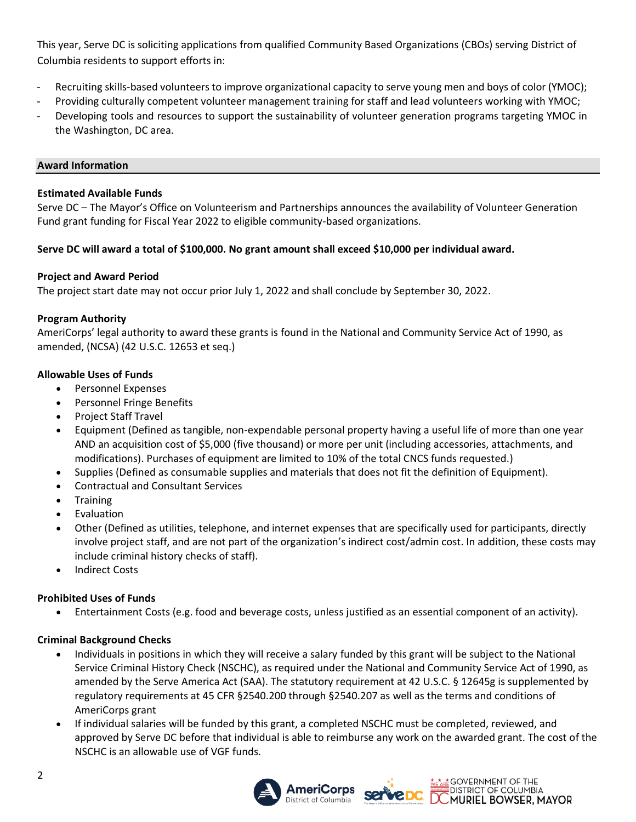This year, Serve DC is soliciting applications from qualified Community Based Organizations (CBOs) serving District of Columbia residents to support efforts in:

- Recruiting skills-based volunteers to improve organizational capacity to serve young men and boys of color (YMOC);
- Providing culturally competent volunteer management training for staff and lead volunteers working with YMOC;
- Developing tools and resources to support the sustainability of volunteer generation programs targeting YMOC in the Washington, DC area.

### **Award Information**

### **Estimated Available Funds**

Serve DC – The Mayor's Office on Volunteerism and Partnerships announces the availability of Volunteer Generation Fund grant funding for Fiscal Year 2022 to eligible community-based organizations.

### **Serve DC will award a total of \$100,000. No grant amount shall exceed \$10,000 per individual award.**

### **Project and Award Period**

The project start date may not occur prior July 1, 2022 and shall conclude by September 30, 2022.

### **Program Authority**

AmeriCorps' legal authority to award these grants is found in the National and Community Service Act of 1990, as amended, (NCSA) (42 U.S.C. 12653 et seq.)

### **Allowable Uses of Funds**

- Personnel Expenses
- Personnel Fringe Benefits
- Project Staff Travel
- Equipment (Defined as tangible, non-expendable personal property having a useful life of more than one year AND an acquisition cost of \$5,000 (five thousand) or more per unit (including accessories, attachments, and modifications). Purchases of equipment are limited to 10% of the total CNCS funds requested.)
- Supplies (Defined as consumable supplies and materials that does not fit the definition of Equipment).
- Contractual and Consultant Services
- Training
- **Evaluation**
- Other (Defined as utilities, telephone, and internet expenses that are specifically used for participants, directly involve project staff, and are not part of the organization's indirect cost/admin cost. In addition, these costs may include criminal history checks of staff).
- **Indirect Costs**

### **Prohibited Uses of Funds**

• Entertainment Costs (e.g. food and beverage costs, unless justified as an essential component of an activity).

### **Criminal Background Checks**

- Individuals in positions in which they will receive a salary funded by this grant will be subject to the National Service Criminal History Check (NSCHC), as required under the National and Community Service Act of 1990, as amended by the Serve America Act (SAA). The statutory requirement at 42 U.S.C. § 12645g is supplemented by regulatory requirements at 45 CFR §2540.200 through §2540.207 as well as the terms and conditions of AmeriCorps grant
- If individual salaries will be funded by this grant, a completed NSCHC must be completed, reviewed, and approved by Serve DC before that individual is able to reimburse any work on the awarded grant. The cost of the NSCHC is an allowable use of VGF funds.

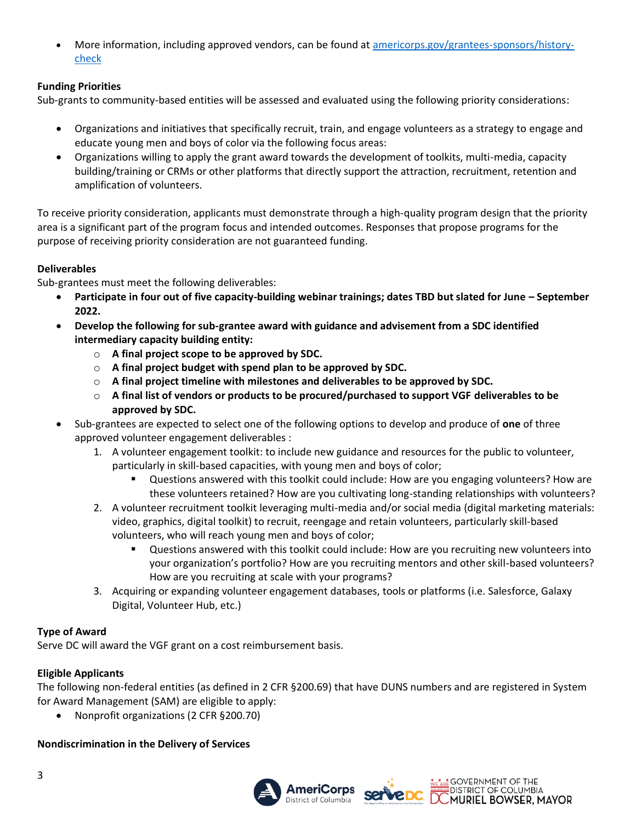More information, including approved vendors, can be found at [americorps.gov/grantees-sponsors/history](https://americorps.gov/grantees-sponsors/history-check)[check](https://americorps.gov/grantees-sponsors/history-check)

### **Funding Priorities**

Sub-grants to community-based entities will be assessed and evaluated using the following priority considerations:

- Organizations and initiatives that specifically recruit, train, and engage volunteers as a strategy to engage and educate young men and boys of color via the following focus areas:
- Organizations willing to apply the grant award towards the development of toolkits, multi-media, capacity building/training or CRMs or other platforms that directly support the attraction, recruitment, retention and amplification of volunteers.

To receive priority consideration, applicants must demonstrate through a high-quality program design that the priority area is a significant part of the program focus and intended outcomes. Responses that propose programs for the purpose of receiving priority consideration are not guaranteed funding.

### **Deliverables**

Sub-grantees must meet the following deliverables:

- **Participate in four out of five capacity-building webinar trainings; dates TBD but slated for June – September 2022.**
- **Develop the following for sub-grantee award with guidance and advisement from a SDC identified intermediary capacity building entity:**
	- o **A final project scope to be approved by SDC.**
	- o **A final project budget with spend plan to be approved by SDC.**
	- o **A final project timeline with milestones and deliverables to be approved by SDC.**
	- o **A final list of vendors or products to be procured/purchased to support VGF deliverables to be approved by SDC.**
- Sub-grantees are expected to select one of the following options to develop and produce of **one** of three approved volunteer engagement deliverables :
	- 1. A volunteer engagement toolkit: to include new guidance and resources for the public to volunteer, particularly in skill-based capacities, with young men and boys of color;
		- Questions answered with this toolkit could include: How are you engaging volunteers? How are these volunteers retained? How are you cultivating long-standing relationships with volunteers?
	- 2. A volunteer recruitment toolkit leveraging multi-media and/or social media (digital marketing materials: video, graphics, digital toolkit) to recruit, reengage and retain volunteers, particularly skill-based volunteers, who will reach young men and boys of color;
		- Questions answered with this toolkit could include: How are you recruiting new volunteers into your organization's portfolio? How are you recruiting mentors and other skill-based volunteers? How are you recruiting at scale with your programs?
	- 3. Acquiring or expanding volunteer engagement databases, tools or platforms (i.e. Salesforce, Galaxy Digital, Volunteer Hub, etc.)

### **Type of Award**

Serve DC will award the VGF grant on a cost reimbursement basis.

### **Eligible Applicants**

The following non-federal entities (as defined in 2 CFR §200.69) that have DUNS numbers and are registered in System for Award Management (SAM) are eligible to apply:

• Nonprofit organizations (2 CFR §200.70)

### **Nondiscrimination in the Delivery of Services**





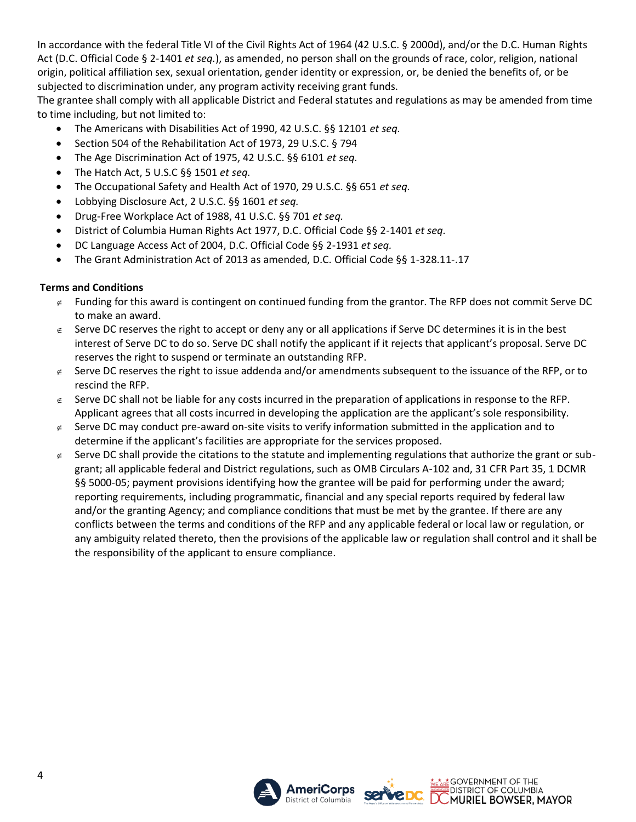In accordance with the federal Title VI of the Civil Rights Act of 1964 (42 U.S.C. § 2000d), and/or the D.C. Human Rights Act (D.C. Official Code § 2-1401 *et seq.*), as amended, no person shall on the grounds of race, color, religion, national origin, political affiliation sex, sexual orientation, gender identity or expression, or, be denied the benefits of, or be subjected to discrimination under, any program activity receiving grant funds.

The grantee shall comply with all applicable District and Federal statutes and regulations as may be amended from time to time including, but not limited to:

- The Americans with Disabilities Act of 1990, 42 U.S.C. §§ 12101 *et seq.*
- Section 504 of the Rehabilitation Act of 1973, 29 U.S.C. § 794
- The Age Discrimination Act of 1975, 42 U.S.C. §§ 6101 *et seq.*
- The Hatch Act, 5 U.S.C §§ 1501 *et seq.*
- The Occupational Safety and Health Act of 1970, 29 U.S.C. §§ 651 *et seq.*
- Lobbying Disclosure Act, 2 U.S.C. §§ 1601 *et seq.*
- Drug-Free Workplace Act of 1988, 41 U.S.C. §§ 701 *et seq.*
- District of Columbia Human Rights Act 1977, D.C. Official Code §§ 2-1401 *et seq.*
- DC Language Access Act of 2004, D.C. Official Code §§ 2-1931 *et seq.*
- The Grant Administration Act of 2013 as amended, D.C. Official Code §§ 1-328.11-.17

### **Terms and Conditions**

- $\epsilon$  Funding for this award is contingent on continued funding from the grantor. The RFP does not commit Serve DC to make an award.
- $\epsilon$  Serve DC reserves the right to accept or deny any or all applications if Serve DC determines it is in the best interest of Serve DC to do so. Serve DC shall notify the applicant if it rejects that applicant's proposal. Serve DC reserves the right to suspend or terminate an outstanding RFP.
- $\epsilon$  Serve DC reserves the right to issue addenda and/or amendments subsequent to the issuance of the RFP, or to rescind the RFP.
- $\epsilon$  Serve DC shall not be liable for any costs incurred in the preparation of applications in response to the RFP. Applicant agrees that all costs incurred in developing the application are the applicant's sole responsibility.
- $\epsilon$  Serve DC may conduct pre-award on-site visits to verify information submitted in the application and to determine if the applicant's facilities are appropriate for the services proposed.
- $\epsilon$  Serve DC shall provide the citations to the statute and implementing regulations that authorize the grant or subgrant; all applicable federal and District regulations, such as OMB Circulars A-102 and, 31 CFR Part 35, 1 DCMR §§ 5000-05; payment provisions identifying how the grantee will be paid for performing under the award; reporting requirements, including programmatic, financial and any special reports required by federal law and/or the granting Agency; and compliance conditions that must be met by the grantee. If there are any conflicts between the terms and conditions of the RFP and any applicable federal or local law or regulation, or any ambiguity related thereto, then the provisions of the applicable law or regulation shall control and it shall be the responsibility of the applicant to ensure compliance.

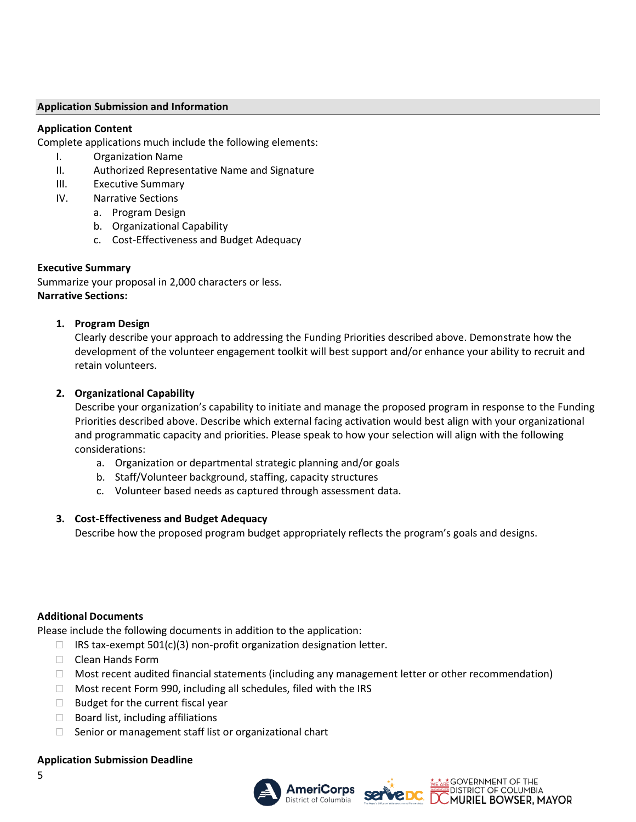### **Application Submission and Information**

### **Application Content**

Complete applications much include the following elements:

- I. Organization Name
- II. Authorized Representative Name and Signature
- III. Executive Summary
- IV. Narrative Sections
	- a. Program Design
	- b. Organizational Capability
	- c. Cost-Effectiveness and Budget Adequacy

### **Executive Summary**

Summarize your proposal in 2,000 characters or less. **Narrative Sections:**

### **1. Program Design**

Clearly describe your approach to addressing the Funding Priorities described above. Demonstrate how the development of the volunteer engagement toolkit will best support and/or enhance your ability to recruit and retain volunteers.

### **2. Organizational Capability**

Describe your organization's capability to initiate and manage the proposed program in response to the Funding Priorities described above. Describe which external facing activation would best align with your organizational and programmatic capacity and priorities. Please speak to how your selection will align with the following considerations:

- a. Organization or departmental strategic planning and/or goals
- b. Staff/Volunteer background, staffing, capacity structures
- c. Volunteer based needs as captured through assessment data.

### **3. Cost-Effectiveness and Budget Adequacy**

Describe how the proposed program budget appropriately reflects the program's goals and designs.

#### **Additional Documents**

Please include the following documents in addition to the application:

- $\Box$  IRS tax-exempt 501(c)(3) non-profit organization designation letter.
- □ Clean Hands Form
- $\Box$  Most recent audited financial statements (including any management letter or other recommendation)
- □ Most recent Form 990, including all schedules, filed with the IRS
- $\Box$  Budget for the current fiscal year
- $\Box$  Board list, including affiliations
- $\Box$  Senior or management staff list or organizational chart

#### **Application Submission Deadline**





**DISTRICT OF COLUMBIA**